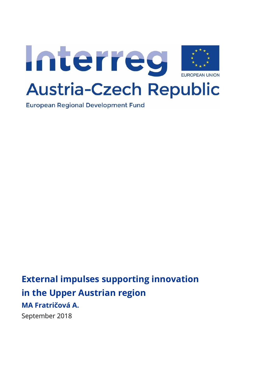

**European Regional Development Fund** 

# **External impulses supporting innovation in the Upper Austrian region MA Fratričová A.**

September 2018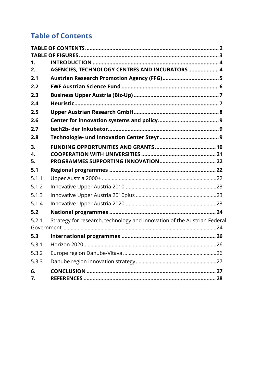# <span id="page-1-0"></span>**Table of Contents**

| 1.       |                                                                          |
|----------|--------------------------------------------------------------------------|
| 2.       | AGENCIES, TECHNOLOGY CENTRES AND INCUBATORS  4                           |
| 2.1      |                                                                          |
| 2.2      |                                                                          |
| 2.3      |                                                                          |
| 2.4      |                                                                          |
| 2.5      |                                                                          |
| 2.6      |                                                                          |
| 2.7      |                                                                          |
| 2.8      |                                                                          |
| 3.       |                                                                          |
| 4.       |                                                                          |
| 5.       |                                                                          |
| 5.1      |                                                                          |
| 5.1.1    |                                                                          |
| 5.1.2    |                                                                          |
| 5.1.3    |                                                                          |
| 5.1.4    |                                                                          |
| 5.2      |                                                                          |
| 5.2.1    | Strategy for research, technology and innovation of the Austrian Federal |
|          |                                                                          |
| 5.3      |                                                                          |
| 5.3.1    |                                                                          |
| 5.3.2    |                                                                          |
| 5.3.3    |                                                                          |
| 6.<br>7. |                                                                          |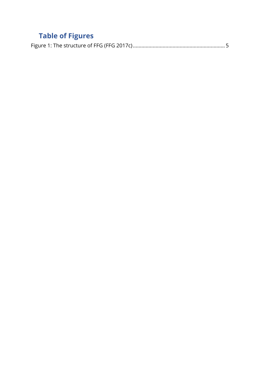# <span id="page-2-0"></span>**Table of Figures**

|--|--|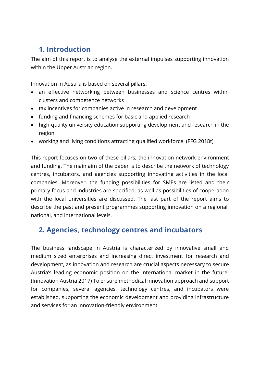# <span id="page-3-0"></span>**1. Introduction**

The aim of this report is to analyse the external impulses supporting innovation within the Upper Austrian region.

Innovation in Austria is based on several pillars:

- an effective networking between businesses and science centres within clusters and competence networks
- tax incentives for companies active in research and development
- funding and financing schemes for basic and applied research
- high-quality university education supporting development and research in the region
- working and living conditions attracting qualified workforce (FFG 2018t)

This report focuses on two of these pillars; the innovation network environment and funding. The main aim of the paper is to describe the network of technology centres, incubators, and agencies supporting innovating activities in the local companies. Moreover, the funding possibilities for SMEs are listed and their primary focus and industries are specified, as well as possibilities of cooperation with the local universities are discussed. The last part of the report aims to describe the past and present programmes supporting innovation on a regional, national, and international levels.

# <span id="page-3-1"></span>**2. Agencies, technology centres and incubators**

The business landscape in Austria is characterized by innovative small and medium sized enterprises and increasing direct investment for research and development, as innovation and research are crucial aspects necessary to secure Austria's leading economic position on the international market in the future. (Innovation Austria 2017) To ensure methodical innovation approach and support for companies, several agencies, technology centres, and incubators were established, supporting the economic development and providing infrastructure and services for an innovation-friendly environment.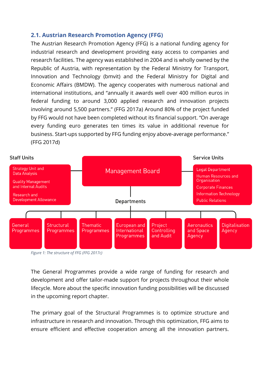### <span id="page-4-0"></span>**2.1. Austrian Research Promotion Agency (FFG)**

The Austrian Research Promotion Agency (FFG) is a national funding agency for industrial research and development providing easy access to companies and research facilities. The agency was established in 2004 and is wholly owned by the Republic of Austria, with representation by the Federal Ministry for Transport, Innovation and Technology (bmvit) and the Federal Ministry for Digital and Economic Affairs (BMDW). The agency cooperates with numerous national and international institutions, and "annually it awards well over 400 million euros in federal funding to around 3,000 applied research and innovation projects involving around 5,500 partners." (FFG 2017a) Around 80% of the project funded by FFG would not have been completed without its financial support. "On average every funding euro generates ten times its value in additional revenue for business. Start-ups supported by FFG funding enjoy above-average performance." (FFG 2017d)



<span id="page-4-1"></span>*Figure 1: The structure of FFG (FFG 2017c)*

The General Programmes provide a wide range of funding for research and development and offer tailor-made support for projects throughout their whole lifecycle. More about the specific innovation funding possibilities will be discussed in the upcoming report chapter.

The primary goal of the Structural Programmes is to optimize structure and infrastructure in research and innovation. Through this optimization, FFG aims to ensure efficient and effective cooperation among all the innovation partners.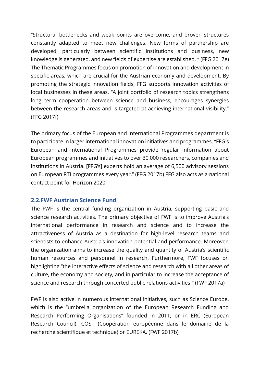"Structural bottlenecks and weak points are overcome, and proven structures constantly adapted to meet new challenges. New forms of partnership are developed, particularly between scientific institutions and business, new knowledge is generated, and new fields of expertise are established. " (FFG 2017e) The Thematic Programmes focus on promotion of innovation and development in specific areas, which are crucial for the Austrian economy and development. By promoting the strategic innovation fields, FFG supports innovation activities of local businesses in these areas. "A joint portfolio of research topics strengthens long term cooperation between science and business, encourages synergies between the research areas and is targeted at achieving international visibility." (FFG 2017f)

The primary focus of the European and International Programmes department is to participate in larger international innovation initiatives and programmes. "FFG's European and International Programmes provide regular information about European programmes and initiatives to over 30,000 researchers, companies and institutions in Austria. [FFG's] experts hold an average of 6,500 advisory sessions on European RTI programmes every year." (FFG 2017b) FFG also acts as a national contact point for Horizon 2020.

### <span id="page-5-0"></span>**2.2.FWF Austrian Science Fund**

The FWF is the central funding organization in Austria, supporting basic and science research activities. The primary objective of FWF is to improve Austria's international performance in research and science and to increase the attractiveness of Austria as a destination for high-level research teams and scientists to enhance Austria's innovation potential and performance. Moreover, the organization aims to increase the quality and quantity of Austria's scientific human resources and personnel in research. Furthermore, FWF focuses on highlighting "the interactive effects of science and research with all other areas of culture, the economy and society, and in particular to increase the acceptance of science and research through concerted public relations activities." (FWF 2017a)

FWF is also active in numerous international initiatives, such as Science Europe, which is the "umbrella organization of the European Research Funding and Research Performing Organisations" founded in 2011, or in ERC (European Research Council), COST (Coopération européenne dans le domaine de la recherche scientifique et technique) or EUREKA. (FWF 2017b)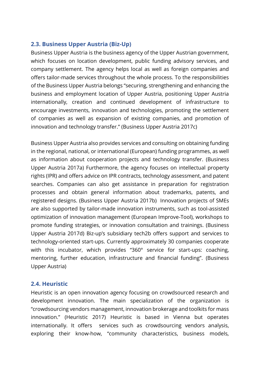### <span id="page-6-0"></span>**2.3. Business Upper Austria (Biz-Up)**

Business Upper Austria is the business agency of the Upper Austrian government, which focuses on location development, public funding advisory services, and company settlement. The agency helps local as well as foreign companies and offers tailor-made services throughout the whole process. To the responsibilities of the Business Upper Austria belongs "securing, strengthening and enhancing the business and employment location of Upper Austria, positioning Upper Austria internationally, creation and continued development of infrastructure to encourage investments, innovation and technologies, promoting the settlement of companies as well as expansion of existing companies, and promotion of innovation and technology transfer." (Business Upper Austria 2017c)

Business Upper Austria also provides services and consulting on obtaining funding in the regional, national, or international (European) funding programmes, as well as information about cooperation projects and technology transfer. (Business Upper Austria 2017a) Furthermore, the agency focuses on intellectual property rights (IPR) and offers advice on IPR contracts, technology assessment, and patent searches. Companies can also get assistance in preparation for registration processes and obtain general information about trademarks, patents, and registered designs. (Business Upper Austria 2017b) Innovation projects of SMEs are also supported by tailor-made innovation instruments, such as tool-assisted optimization of innovation management (European Improve-Tool), workshops to promote funding strategies, or innovation consultation and trainings. (Business Upper Austria 2017d) Biz-up's subsidiary tech2b offers support and services to technology-oriented start-ups. Currently approximately 30 companies cooperate with this incubator, which provides "360° service for start-ups: coaching, mentoring, further education, infrastructure and financial funding". (Business Upper Austria)

### <span id="page-6-1"></span>**2.4. Heuristic**

Heuristic is an open innovation agency focusing on crowdsourced research and development innovation. The main specialization of the organization is "crowdsourcing vendors management, innovation brokerage and toolkits for mass innovation." (Heuristic 2017) Heuristic is based in Vienna but operates internationally. It offers services such as crowdsourcing vendors analysis, exploring their know-how, "community characteristics, business models,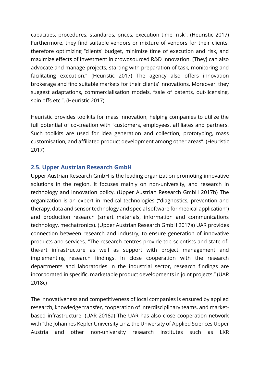capacities, procedures, standards, prices, execution time, risk". (Heuristic 2017) Furthermore, they find suitable vendors or mixture of vendors for their clients, therefore optimizing "clients' budget, minimize time of execution and risk, and maximize effects of investment in crowdsourced R&D Innovation. [They] can also advocate and manage projects, starting with preparation of task, monitoring and facilitating execution." (Heuristic 2017) The agency also offers innovation brokerage and find suitable markets for their clients' innovations. Moreover, they suggest adaptations, commercialisation models, "sale of patents, out-licensing, spin offs etc.". (Heuristic 2017)

Heuristic provides toolkits for mass innovation, helping companies to utilize the full potential of co-creation with "customers, employees, affiliates and partners. Such toolkits are used for idea generation and collection, prototyping, mass customisation, and affiliated product development among other areas". (Heuristic 2017)

### <span id="page-7-0"></span>**2.5. Upper Austrian Research GmbH**

Upper Austrian Research GmbH is the leading organization promoting innovative solutions in the region. It focuses mainly on non-university, and research in technology and innovation policy. (Upper Austrian Research GmbH 2017b) The organization is an expert in medical technologies ("diagnostics, prevention and therapy, data and sensor technology and special software for medical application") and production research (smart materials, information and communications technology, mechatronics). (Upper Austrian Research GmbH 2017a) UAR provides connection between research and industry, to ensure generation of innovative products and services. "The research centres provide top scientists and state-ofthe-art infrastructure as well as support with project management and implementing research findings. In close cooperation with the research departments and laboratories in the industrial sector, research findings are incorporated in specific, marketable product developments in joint projects." (UAR 2018c)

The innovativeness and competitiveness of local companies is ensured by applied research, knowledge transfer, cooperation of interdisciplinary teams, and marketbased infrastructure. (UAR 2018a) The UAR has also close cooperation network with "the Johannes Kepler University Linz, the University of Applied Sciences Upper Austria and other non-university research institutes such as LKR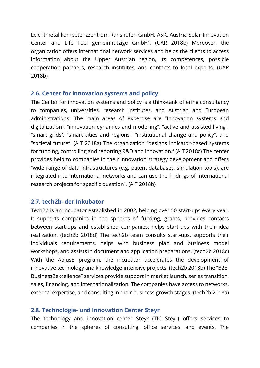Leichtmetallkompetenzzentrum Ranshofen GmbH, ASIC Austria Solar Innovation Center and Life Tool gemeinnützige GmbH". (UAR 2018b) Moreover, the organization offers international network services and helps the clients to access information about the Upper Austrian region, its competences, possible cooperation partners, research institutes, and contacts to local experts. (UAR 2018b)

### <span id="page-8-0"></span>**2.6. Center for innovation systems and policy**

The Center for innovation systems and policy is a think-tank offering consultancy to companies, universities, research institutes, and Austrian and European administrations. The main areas of expertise are "Innovation systems and digitalization", "innovation dynamics and modelling", "active and assisted living", "smart grids", "smart cities and regions", "institutional change and policy", and "societal future". (AIT 2018a) The organization "designs indicator-based systems for funding, controlling and reporting R&D and innovation." (AIT 2018c) The center provides help to companies in their innovation strategy development and offers "wide range of data infrastructures (e.g. patent databases, simulation tools), are integrated into international networks and can use the findings of international research projects for specific question". (AIT 2018b)

### <span id="page-8-1"></span>**2.7. tech2b- der Inkubator**

Tech2b is an incubator established in 2002, helping over 50 start-ups every year. It supports companies in the spheres of funding, grants, provides contacts between start-ups and established companies, helps start-ups with their idea realization. (tech2b 2018d) The tech2b team consults start-ups, supports their individuals requirements, helps with business plan and business model workshops, and assists in document and application preparations. (tech2b 2018c) With the AplusB program, the incubator accelerates the development of innovative technology and knowledge-intensive projects. (tech2b 2018b) The "B2E-Business2excellence" services provide support in market launch, series transition, sales, financing, and internationalization. The companies have access to networks, external expertise, and consulting in their business growth stages. (tech2b 2018a)

### <span id="page-8-2"></span>**2.8. Technologie- und Innovation Center Steyr**

The technology and innovation center Steyr (TIC Steyr) offers services to companies in the spheres of consulting, office services, and events. The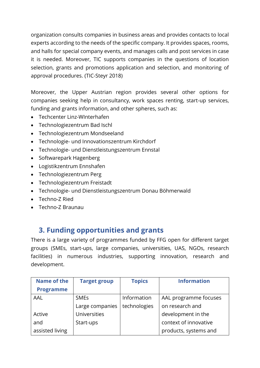organization consults companies in business areas and provides contacts to local experts according to the needs of the specific company. It provides spaces, rooms, and halls for special company events, and manages calls and post services in case it is needed. Moreover, TIC supports companies in the questions of location selection, grants and promotions application and selection, and monitoring of approval procedures. (TIC-Steyr 2018)

Moreover, the Upper Austrian region provides several other options for companies seeking help in consultancy, work spaces renting, start-up services, funding and grants information, and other spheres, such as:

- Techcenter Linz-WInterhafen
- Technologiezentrum Bad Ischl
- Technologiezentrum Mondseeland
- Technologie- und Innovationszentrum Kirchdorf
- Technologie- und Dienstleistungszentrum Ennstal
- Softwarepark Hagenberg
- Logistikzentrum Ennshafen
- Technologiezentrum Perg
- Technologiezentrum Freistadt
- Technologie- und Dienstleistungszentrum Donau Böhmerwald
- Techno-Z Ried
- Techno-Z Braunau

# <span id="page-9-0"></span>**3. Funding opportunities and grants**

There is a large variety of programmes funded by FFG open for different target groups (SMEs, start-ups, large companies, universities, UAS, NGOs, research facilities) in numerous industries, supporting innovation, research and development.

| Name of the      | <b>Target group</b> | <b>Topics</b> | <b>Information</b>    |
|------------------|---------------------|---------------|-----------------------|
| <b>Programme</b> |                     |               |                       |
| AAL              | <b>SMEs</b>         | Information   | AAL programme focuses |
|                  | Large companies     | technologies  | on research and       |
| Active           | <b>Universities</b> |               | development in the    |
| and              | Start-ups           |               | context of innovative |
| assisted living  |                     |               | products, systems and |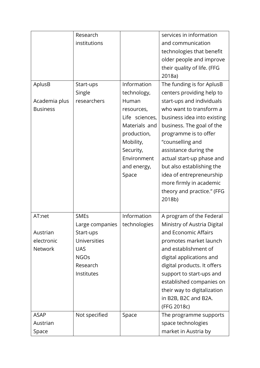|                                            | Research                           |                                                                                                                                                                      | services in information                                                                                                                                                                                                                                                                                                                                           |
|--------------------------------------------|------------------------------------|----------------------------------------------------------------------------------------------------------------------------------------------------------------------|-------------------------------------------------------------------------------------------------------------------------------------------------------------------------------------------------------------------------------------------------------------------------------------------------------------------------------------------------------------------|
|                                            | institutions                       |                                                                                                                                                                      | and communication                                                                                                                                                                                                                                                                                                                                                 |
|                                            |                                    |                                                                                                                                                                      | technologies that benefit                                                                                                                                                                                                                                                                                                                                         |
|                                            |                                    |                                                                                                                                                                      | older people and improve                                                                                                                                                                                                                                                                                                                                          |
|                                            |                                    |                                                                                                                                                                      | their quality of life. (FFG                                                                                                                                                                                                                                                                                                                                       |
|                                            |                                    |                                                                                                                                                                      | 2018a)                                                                                                                                                                                                                                                                                                                                                            |
| AplusB<br>Academia plus<br><b>Business</b> | Start-ups<br>Single<br>researchers | Information<br>technology,<br>Human<br>resources,<br>Life sciences,<br>Materials and<br>production,<br>Mobility,<br>Security,<br>Environment<br>and energy,<br>Space | The funding is for AplusB<br>centers providing help to<br>start-ups and individuals<br>who want to transform a<br>business idea into existing<br>business. The goal of the<br>programme is to offer<br>"counselling and<br>assistance during the<br>actual start-up phase and<br>but also establishing the<br>idea of entrepreneurship<br>more firmly in academic |
|                                            |                                    |                                                                                                                                                                      | theory and practice." (FFG<br>2018b)                                                                                                                                                                                                                                                                                                                              |
| AT:net                                     | <b>SMEs</b><br>Large companies     | Information<br>technologies                                                                                                                                          | A program of the Federal<br>Ministry of Austria Digital                                                                                                                                                                                                                                                                                                           |
| Austrian                                   | Start-ups                          |                                                                                                                                                                      | and Economic Affairs                                                                                                                                                                                                                                                                                                                                              |
| electronic                                 | <b>Universities</b>                |                                                                                                                                                                      | promotes market launch                                                                                                                                                                                                                                                                                                                                            |
| <b>Network</b>                             | <b>UAS</b>                         |                                                                                                                                                                      | and establishment of                                                                                                                                                                                                                                                                                                                                              |
|                                            | <b>NGOs</b>                        |                                                                                                                                                                      | digital applications and                                                                                                                                                                                                                                                                                                                                          |
|                                            | Research                           |                                                                                                                                                                      | digital products. It offers                                                                                                                                                                                                                                                                                                                                       |
|                                            | Institutes                         |                                                                                                                                                                      | support to start-ups and                                                                                                                                                                                                                                                                                                                                          |
|                                            |                                    |                                                                                                                                                                      | established companies on                                                                                                                                                                                                                                                                                                                                          |
|                                            |                                    |                                                                                                                                                                      | their way to digitalization                                                                                                                                                                                                                                                                                                                                       |
|                                            |                                    |                                                                                                                                                                      | in B2B, B2C and B2A.                                                                                                                                                                                                                                                                                                                                              |
|                                            |                                    |                                                                                                                                                                      | (FFG 2018c)                                                                                                                                                                                                                                                                                                                                                       |
| <b>ASAP</b>                                | Not specified                      | Space                                                                                                                                                                | The programme supports                                                                                                                                                                                                                                                                                                                                            |
| Austrian                                   |                                    |                                                                                                                                                                      | space technologies                                                                                                                                                                                                                                                                                                                                                |
| Space                                      |                                    |                                                                                                                                                                      | market in Austria by                                                                                                                                                                                                                                                                                                                                              |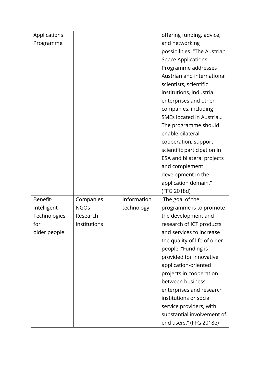| Applications |              |             | offering funding, advice,    |
|--------------|--------------|-------------|------------------------------|
| Programme    |              |             | and networking               |
|              |              |             | possibilities. "The Austrian |
|              |              |             | <b>Space Applications</b>    |
|              |              |             | Programme addresses          |
|              |              |             | Austrian and international   |
|              |              |             | scientists, scientific       |
|              |              |             | institutions, industrial     |
|              |              |             | enterprises and other        |
|              |              |             | companies, including         |
|              |              |             | SMEs located in Austria      |
|              |              |             | The programme should         |
|              |              |             | enable bilateral             |
|              |              |             | cooperation, support         |
|              |              |             | scientific participation in  |
|              |              |             | ESA and bilateral projects   |
|              |              |             | and complement               |
|              |              |             | development in the           |
|              |              |             | application domain."         |
|              |              |             | (FFG 2018d)                  |
| Benefit-     | Companies    | Information | The goal of the              |
| Intelligent  | <b>NGOs</b>  | technology  | programme is to promote      |
| Technologies | Research     |             | the development and          |
| for          | Institutions |             | research of ICT products     |
| older people |              |             | and services to increase     |
|              |              |             | the quality of life of older |
|              |              |             | people. "Funding is          |
|              |              |             | provided for innovative,     |
|              |              |             | application-oriented         |
|              |              |             | projects in cooperation      |
|              |              |             | between business             |
|              |              |             | enterprises and research     |
|              |              |             | institutions or social       |
|              |              |             | service providers, with      |
|              |              |             | substantial involvement of   |
|              |              |             | end users." (FFG 2018e)      |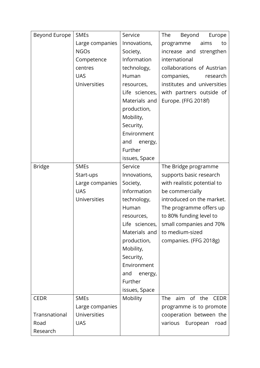| Beyond Europe | <b>SMEs</b>         | Service        | The<br>Beyond<br>Europe                 |
|---------------|---------------------|----------------|-----------------------------------------|
|               | Large companies     | Innovations,   | aims<br>programme<br>to                 |
|               | <b>NGOs</b>         | Society,       | increase and<br>strengthen              |
|               | Competence          | Information    | international                           |
|               | centres             | technology,    | collaborations of Austrian              |
|               | <b>UAS</b>          | Human          | companies,<br>research                  |
|               | Universities        | resources,     | institutes and universities             |
|               |                     | Life sciences, | with partners outside of                |
|               |                     | Materials and  | Europe. (FFG 2018f)                     |
|               |                     | production,    |                                         |
|               |                     | Mobility,      |                                         |
|               |                     | Security,      |                                         |
|               |                     | Environment    |                                         |
|               |                     | and<br>energy, |                                         |
|               |                     | Further        |                                         |
|               |                     | issues, Space  |                                         |
| <b>Bridge</b> | <b>SMEs</b>         | Service        | The Bridge programme                    |
|               | Start-ups           | Innovations,   | supports basic research                 |
|               | Large companies     | Society,       | with realistic potential to             |
|               | <b>UAS</b>          | Information    | be commercially                         |
|               | Universities        | technology,    | introduced on the market.               |
|               |                     | Human          | The programme offers up                 |
|               |                     | resources,     | to 80% funding level to                 |
|               |                     | Life sciences, | small companies and 70%                 |
|               |                     | Materials and  | to medium-sized                         |
|               |                     | production,    | companies. (FFG 2018g)                  |
|               |                     | Mobility,      |                                         |
|               |                     | Security,      |                                         |
|               |                     | Environment    |                                         |
|               |                     | and<br>energy, |                                         |
|               |                     | Further        |                                         |
|               |                     | issues, Space  |                                         |
| <b>CEDR</b>   | <b>SMEs</b>         | Mobility       | <b>The</b><br>aim of the<br><b>CEDR</b> |
|               | Large companies     |                | programme is to promote                 |
| Transnational | <b>Universities</b> |                | cooperation between the                 |
| Road          | <b>UAS</b>          |                | various<br>European<br>road             |
| Research      |                     |                |                                         |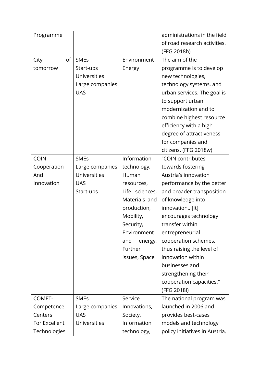| Programme     |                     |                | administrations in the field   |
|---------------|---------------------|----------------|--------------------------------|
|               |                     |                | of road research activities.   |
|               |                     |                | (FFG 2018h)                    |
| οf<br>City    | <b>SMEs</b>         | Environment    | The aim of the                 |
| tomorrow      | Start-ups           | Energy         | programme is to develop        |
|               | <b>Universities</b> |                | new technologies,              |
|               | Large companies     |                | technology systems, and        |
|               | <b>UAS</b>          |                | urban services. The goal is    |
|               |                     |                | to support urban               |
|               |                     |                | modernization and to           |
|               |                     |                | combine highest resource       |
|               |                     |                | efficiency with a high         |
|               |                     |                | degree of attractiveness       |
|               |                     |                | for companies and              |
|               |                     |                | citizens. (FFG 2018w)          |
| <b>COIN</b>   | <b>SMEs</b>         | Information    | "COIN contributes              |
| Cooperation   | Large companies     | technology,    | towards fostering              |
| And           | <b>Universities</b> | Human          | Austria's innovation           |
| Innovation    | <b>UAS</b>          | resources,     | performance by the better      |
|               | Start-ups           | Life sciences, | and broader transposition      |
|               |                     | Materials and  | of knowledge into              |
|               |                     | production,    | innovation[It]                 |
|               |                     | Mobility,      | encourages technology          |
|               |                     | Security,      | transfer within                |
|               |                     | Environment    | entrepreneurial                |
|               |                     | and<br>energy, | cooperation schemes,           |
|               |                     | Further        | thus raising the level of      |
|               |                     | issues, Space  | innovation within              |
|               |                     |                | businesses and                 |
|               |                     |                | strengthening their            |
|               |                     |                | cooperation capacities."       |
|               |                     |                | (FFG 2018i)                    |
| COMET-        | <b>SMEs</b>         | Service        | The national program was       |
| Competence    | Large companies     | Innovations,   | launched in 2006 and           |
| Centers       | <b>UAS</b>          | Society,       | provides best-cases            |
| For Excellent | <b>Universities</b> | Information    | models and technology          |
| Technologies  |                     | technology,    | policy initiatives in Austria. |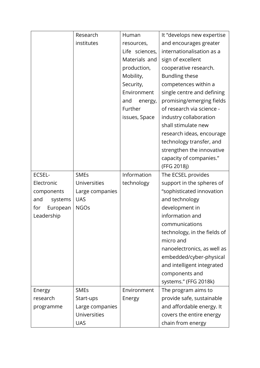|                 | Research        | Human          | It "develops new expertise   |
|-----------------|-----------------|----------------|------------------------------|
|                 | institutes      | resources,     | and encourages greater       |
|                 |                 | Life sciences, | internationalisation as a    |
|                 |                 | Materials and  | sign of excellent            |
|                 |                 | production,    | cooperative research.        |
|                 |                 | Mobility,      | Bundling these               |
|                 |                 | Security,      | competences within a         |
|                 |                 | Environment    | single centre and defining   |
|                 |                 | and<br>energy, | promising/emerging fields    |
|                 |                 | Further        | of research via science -    |
|                 |                 | issues, Space  | industry collaboration       |
|                 |                 |                | shall stimulate new          |
|                 |                 |                | research ideas, encourage    |
|                 |                 |                | technology transfer, and     |
|                 |                 |                | strengthen the innovative    |
|                 |                 |                | capacity of companies."      |
|                 |                 |                | (FFG 2018j)                  |
| ECSEL-          | <b>SMEs</b>     | Information    | The ECSEL provides           |
| Electronic      | Universities    | technology     | support in the spheres of    |
| components      | Large companies |                | "sophisticated innovation    |
| and<br>systems  | <b>UAS</b>      |                | and technology               |
| European<br>for | <b>NGOs</b>     |                | development in               |
| Leadership      |                 |                | information and              |
|                 |                 |                | communications               |
|                 |                 |                | technology, in the fields of |
|                 |                 |                | micro and                    |
|                 |                 |                | nanoelectronics, as well as  |
|                 |                 |                | embedded/cyber-physical      |
|                 |                 |                | and intelligent integrated   |
|                 |                 |                | components and               |
|                 |                 |                | systems." (FFG 2018k)        |
| Energy          | <b>SMEs</b>     | Environment    | The program aims to          |
| research        | Start-ups       | Energy         | provide safe, sustainable    |
| programme       | Large companies |                | and affordable energy. It    |
|                 | Universities    |                | covers the entire energy     |
|                 | <b>UAS</b>      |                | chain from energy            |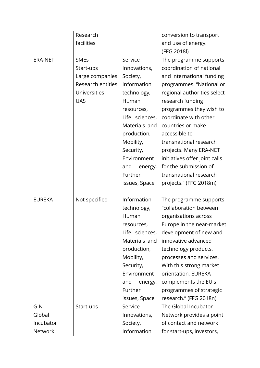|                | Research            |                | conversion to transport       |
|----------------|---------------------|----------------|-------------------------------|
|                | facilities          |                | and use of energy.            |
|                |                     |                | (FFG 2018l)                   |
| <b>ERA-NET</b> | <b>SMEs</b>         | Service        | The programme supports        |
|                | Start-ups           | Innovations,   | coordination of national      |
|                | Large companies     | Society,       | and international funding     |
|                | Research entities   | Information    | programmes. "National or      |
|                | <b>Universities</b> | technology,    | regional authorities select   |
|                | <b>UAS</b>          | Human          | research funding              |
|                |                     | resources,     | programmes they wish to       |
|                |                     | Life sciences, | coordinate with other         |
|                |                     | Materials and  | countries or make             |
|                |                     | production,    | accessible to                 |
|                |                     | Mobility,      | transnational research        |
|                |                     | Security,      | projects. Many ERA-NET        |
|                |                     | Environment    | initiatives offer joint calls |
|                |                     | and<br>energy, | for the submission of         |
|                |                     | Further        | transnational research        |
|                |                     | issues, Space  | projects." (FFG 2018m)        |
|                |                     |                |                               |
| <b>EUREKA</b>  | Not specified       | Information    | The programme supports        |
|                |                     | technology,    | "collaboration between        |
|                |                     | Human          | organisations across          |
|                |                     | resources,     | Europe in the near-market     |
|                |                     | Life sciences, | development of new and        |
|                |                     | Materials and  | innovative advanced           |
|                |                     | production,    | technology products,          |
|                |                     | Mobility,      | processes and services.       |
|                |                     | Security,      | With this strong market       |
|                |                     | Environment    | orientation, EUREKA           |
|                |                     | and<br>energy, | complements the EU's          |
|                |                     | Further        | programmes of strategic       |
|                |                     | issues, Space  | research." (FFG 2018n)        |
| GIN-           | Start-ups           | Service        | The Global Incubator          |
| Global         |                     | Innovations,   | Network provides a point      |
| Incubator      |                     | Society,       | of contact and network        |
| Network        |                     | Information    | for start-ups, investors,     |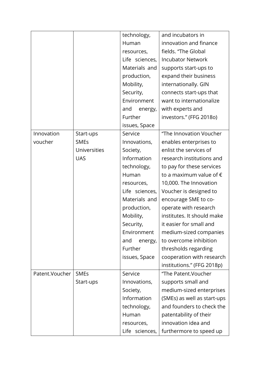|                 |              | technology,    | and incubators in                |
|-----------------|--------------|----------------|----------------------------------|
|                 |              | Human          | innovation and finance           |
|                 |              | resources,     | fields. "The Global              |
|                 |              | Life sciences, | <b>Incubator Network</b>         |
|                 |              | Materials and  | supports start-ups to            |
|                 |              | production,    | expand their business            |
|                 |              | Mobility,      | internationally. GIN             |
|                 |              | Security,      | connects start-ups that          |
|                 |              | Environment    | want to internationalize         |
|                 |              | and<br>energy, | with experts and                 |
|                 |              | Further        | investors." (FFG 2018o)          |
|                 |              | issues, Space  |                                  |
| Innovation      | Start-ups    | Service        | "The Innovation Voucher          |
| voucher         | <b>SMEs</b>  | Innovations,   | enables enterprises to           |
|                 | Universities | Society,       | enlist the services of           |
|                 | <b>UAS</b>   | Information    | research institutions and        |
|                 |              | technology,    | to pay for these services        |
|                 |              | Human          | to a maximum value of $\epsilon$ |
|                 |              | resources,     | 10,000. The Innovation           |
|                 |              | Life sciences, | Voucher is designed to           |
|                 |              | Materials and  | encourage SME to co-             |
|                 |              | production,    | operate with research            |
|                 |              | Mobility,      | institutes. It should make       |
|                 |              | Security,      | it easier for small and          |
|                 |              | Environment    | medium-sized companies           |
|                 |              | and<br>energy, | to overcome inhibition           |
|                 |              | Further        | thresholds regarding             |
|                 |              | issues, Space  | cooperation with research        |
|                 |              |                | institutions." (FFG 2018p)       |
| Patent. Voucher | <b>SMEs</b>  | Service        | "The Patent. Voucher             |
|                 | Start-ups    | Innovations,   | supports small and               |
|                 |              | Society,       | medium-sized enterprises         |
|                 |              | Information    | (SMEs) as well as start-ups      |
|                 |              | technology,    | and founders to check the        |
|                 |              | Human          | patentability of their           |
|                 |              | resources,     | innovation idea and              |
|                 |              | Life sciences, | furthermore to speed up          |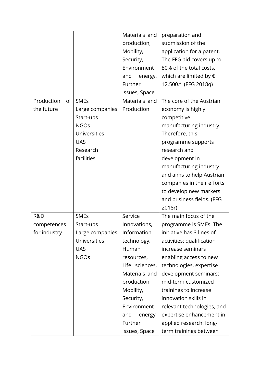|                  |                     | Materials and  | preparation and                 |
|------------------|---------------------|----------------|---------------------------------|
|                  |                     | production,    | submission of the               |
|                  |                     | Mobility,      | application for a patent.       |
|                  |                     | Security,      | The FFG aid covers up to        |
|                  |                     | Environment    | 80% of the total costs,         |
|                  |                     | and<br>energy, | which are limited by $\epsilon$ |
|                  |                     | Further        | 12.500." (FFG 2018q)            |
|                  |                     | issues, Space  |                                 |
| Production<br>of | <b>SMEs</b>         | Materials and  | The core of the Austrian        |
| the future       | Large companies     | Production     | economy is highly               |
|                  | Start-ups           |                | competitive                     |
|                  | <b>NGOs</b>         |                | manufacturing industry.         |
|                  | <b>Universities</b> |                | Therefore, this                 |
|                  | <b>UAS</b>          |                | programme supports              |
|                  | Research            |                | research and                    |
|                  | facilities          |                | development in                  |
|                  |                     |                | manufacturing industry          |
|                  |                     |                | and aims to help Austrian       |
|                  |                     |                | companies in their efforts      |
|                  |                     |                | to develop new markets          |
|                  |                     |                | and business fields. (FFG       |
|                  |                     |                | 2018r)                          |
| R&D              | <b>SMEs</b>         | Service        | The main focus of the           |
| competences      | Start-ups           | Innovations,   | programme is SMEs. The          |
| for industry     | Large companies     | Information    | initiative has 3 lines of       |
|                  | <b>Universities</b> | technology,    | activities: qualification       |
|                  | <b>UAS</b>          | Human          | increase seminars               |
|                  | <b>NGOs</b>         | resources,     | enabling access to new          |
|                  |                     | Life sciences, | technologies, expertise         |
|                  |                     | Materials and  | development seminars:           |
|                  |                     | production,    | mid-term customized             |
|                  |                     | Mobility,      | trainings to increase           |
|                  |                     | Security,      | innovation skills in            |
|                  |                     | Environment    | relevant technologies, and      |
|                  |                     | and<br>energy, | expertise enhancement in        |
|                  |                     | Further        | applied research: long-         |
|                  |                     | issues, Space  | term trainings between          |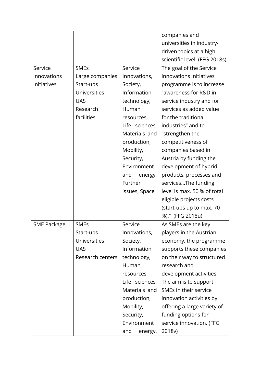|             |                     |                | companies and                 |
|-------------|---------------------|----------------|-------------------------------|
|             |                     |                | universities in industry-     |
|             |                     |                | driven topics at a high       |
|             |                     |                | scientific level. (FFG 2018s) |
| Service     | <b>SMEs</b>         | Service        | The goal of the Service       |
| innovations | Large companies     | Innovations,   | innovations initiatives       |
| initiatives | Start-ups           | Society,       | programme is to increase      |
|             | <b>Universities</b> | Information    | "awareness for R&D in         |
|             | <b>UAS</b>          | technology,    | service industry and for      |
|             | Research            | Human          | services as added value       |
|             | facilities          | resources,     | for the traditional           |
|             |                     | Life sciences, | industries" and to            |
|             |                     | Materials and  | "strengthen the               |
|             |                     | production,    | competitiveness of            |
|             |                     | Mobility,      | companies based in            |
|             |                     | Security,      | Austria by funding the        |
|             |                     | Environment    | development of hybrid         |
|             |                     | and<br>energy, | products, processes and       |
|             |                     | Further        | servicesThe funding           |
|             |                     | issues, Space  | level is max. 50 % of total   |
|             |                     |                | eligible projects costs       |
|             |                     |                | (start-ups up to max. 70      |
|             |                     |                | %)." (FFG 2018u)              |
| SME Package | <b>SMEs</b>         | Service        | As SMEs are the key           |
|             | Start-ups           | Innovations,   | players in the Austrian       |
|             | <b>Universities</b> | Society,       | economy, the programme        |
|             | <b>UAS</b>          | Information    | supports these companies      |
|             | Research centers    | technology,    | on their way to structured    |
|             |                     | Human          | research and                  |
|             |                     | resources,     | development activities.       |
|             |                     | Life sciences, | The aim is to support         |
|             |                     | Materials and  | SMEs in their service         |
|             |                     | production,    | innovation activities by      |
|             |                     | Mobility,      | offering a large variety of   |
|             |                     | Security,      | funding options for           |
|             |                     | Environment    | service innovation. (FFG      |
|             |                     | and<br>energy, | 2018v)                        |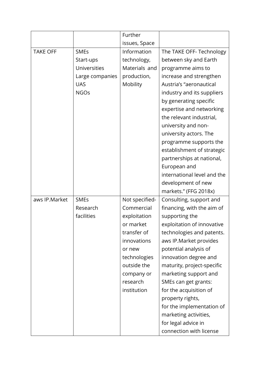|                 |                 | Further        |                             |
|-----------------|-----------------|----------------|-----------------------------|
|                 |                 | issues, Space  |                             |
| <b>TAKE OFF</b> | <b>SMEs</b>     | Information    | The TAKE OFF-Technology     |
|                 | Start-ups       | technology,    | between sky and Earth       |
|                 | Universities    | Materials and  | programme aims to           |
|                 | Large companies | production,    | increase and strengthen     |
|                 | <b>UAS</b>      | Mobility       | Austria's "aeronautical     |
|                 | <b>NGOs</b>     |                | industry and its suppliers  |
|                 |                 |                | by generating specific      |
|                 |                 |                | expertise and networking    |
|                 |                 |                | the relevant industrial,    |
|                 |                 |                | university and non-         |
|                 |                 |                | university actors. The      |
|                 |                 |                | programme supports the      |
|                 |                 |                | establishment of strategic  |
|                 |                 |                | partnerships at national,   |
|                 |                 |                | European and                |
|                 |                 |                | international level and the |
|                 |                 |                | development of new          |
|                 |                 |                | markets." (FFG 2018x)       |
| aws IP.Market   | <b>SMEs</b>     | Not specified- | Consulting, support and     |
|                 | Research        | Commercial     | financing, with the aim of  |
|                 | facilities      | exploitation   | supporting the              |
|                 |                 | or market      | exploitation of innovative  |
|                 |                 | transfer of    | technologies and patents.   |
|                 |                 | innovations    | aws IP.Market provides      |
|                 |                 | or new         | potential analysis of       |
|                 |                 | technologies   | innovation degree and       |
|                 |                 | outside the    | maturity, project-specific  |
|                 |                 | company or     | marketing support and       |
|                 |                 | research       | SMEs can get grants:        |
|                 |                 | institution    | for the acquisition of      |
|                 |                 |                | property rights,            |
|                 |                 |                | for the implementation of   |
|                 |                 |                | marketing activities,       |
|                 |                 |                | for legal advice in         |
|                 |                 |                | connection with license     |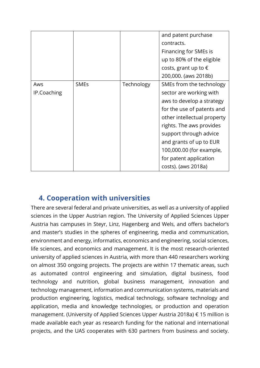|             |             |            | and patent purchase           |
|-------------|-------------|------------|-------------------------------|
|             |             |            | contracts.                    |
|             |             |            | Financing for SMEs is         |
|             |             |            | up to 80% of the eligible     |
|             |             |            | costs, grant up to $\epsilon$ |
|             |             |            | 200,000. (aws 2018b)          |
| Aws         | <b>SMEs</b> | Technology | SMEs from the technology      |
| IP.Coaching |             |            | sector are working with       |
|             |             |            | aws to develop a strategy     |
|             |             |            | for the use of patents and    |
|             |             |            | other intellectual property   |
|             |             |            | rights. The aws provides      |
|             |             |            | support through advice        |
|             |             |            | and grants of up to EUR       |
|             |             |            | 100,000.00 (for example,      |
|             |             |            | for patent application        |
|             |             |            | costs). (aws 2018a)           |

### <span id="page-20-0"></span>**4. Cooperation with universities**

There are several federal and private universities, as well as a university of applied sciences in the Upper Austrian region. The University of Applied Sciences Upper Austria has campuses in Steyr, Linz, Hagenberg and Wels, and offers bachelor's and master's studies in the spheres of engineering, media and communication, environment and energy, informatics, economics and engineering, social sciences, life sciences, and economics and management. It is the most research-oriented university of applied sciences in Austria, with more than 440 researchers working on almost 350 ongoing projects. The projects are within 17 thematic areas, such as automated control engineering and simulation, digital business, food technology and nutrition, global business management, innovation and technology management, information and communication systems, materials and production engineering, logistics, medical technology, software technology and application, media and knowledge technologies, or production and operation management. (University of Applied Sciences Upper Austria 2018a) € 15 million is made available each year as research funding for the national and international projects, and the UAS cooperates with 630 partners from business and society.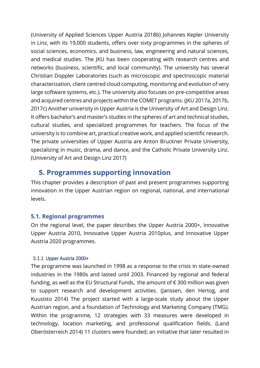(University of Applied Sciences Upper Austria 2018b) Johannes Kepler University in Linz, with its 19,000 students, offers over sixty programmes in the spheres of social sciences, economics, and business, law, engineering and natural sciences, and medical studies. The JKU has been cooperating with research centres and networks (business, scientific, and local community). The university has several Christian Doppler Laboratories (such as microscopic and spectroscopic material characterization, client centred cloud computing, monitoring and evolution of very large software systems, etc.). The university also focuses on pre-competitive areas and acquired centres and projects within the COMET programs. (JKU 2017a, 2017b, 2017c) Another university in Upper Austria is the University of Art and Design Linz. It offers bachelor's and master's studies in the spheres of art and technical studies, cultural studies, and specialized programmes for teachers. The focus of the university is to combine art, practical creative work, and applied scientific research. The private universities of Upper Austria are Anton Bruckner Private University, specializing in music, drama, and dance, and the Catholic Private University Linz. (University of Art and Design Linz 2017)

### <span id="page-21-0"></span>**5. Programmes supporting innovation**

This chapter provides a description of past and present programmes supporting innovation in the Upper Austrian region on regional, national, and international levels.

### <span id="page-21-1"></span>**5.1. Regional programmes**

On the regional level, the paper describes the Upper Austria 2000+, Innovative Upper Austria 2010, Innovative Upper Austria 2010plus, and Innovative Upper Austria 2020 programmes.

### <span id="page-21-2"></span>5.1.1 Upper Austria 2000+

The programme was launched in 1998 as a response to the crisis in state-owned industries in the 1980s and lasted until 2003. Financed by regional and federal funding, as well as the EU Structural Funds, the amount of  $\epsilon$  300 million was given to support research and development activities. (Janssen, den Hertog, and Kuusisto 2014) The project started with a large-scale study about the Upper Austrian region, and a foundation of Technology and Marketing Company (TMG). Within the programme, 12 strategies with 33 measures were developed in technology, location marketing, and professional qualification fields. (Land Oberösterreich 2014) 11 clusters were founded; an initiative that later resulted in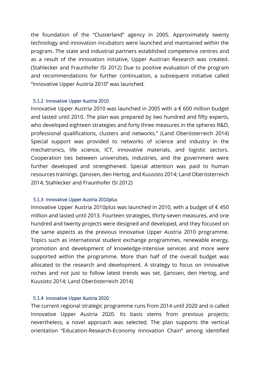the foundation of the "Clusterland" agency in 2005. Approximately twenty technology and innovation incubators were launched and maintained within the program. The state and industrial partners established competence centres and as a result of the innovation initiative, Upper Austrian Research was created. (Stahlecker and Fraunhofer ISI 2012) Due to positive evaluation of the program and recommendations for further continuation, a subsequent initiative called "Innovative Upper Austria 2010" was launched.

#### <span id="page-22-0"></span>5.1.2 Innovative Upper Austria 2010

Innovative Upper Austria 2010 was launched in 2005 with a € 600 million budget and lasted until 2010. The plan was prepared by two hundred and fifty experts, who developed eighteen strategies and forty three measures in the spheres R&D, professional qualifications, clusters and networks." (Land Oberösterreich 2014) Special support was provided to networks of science and industry in the mechatronics, life science, ICT, innovative materials, and logistic sectors. Cooperation ties between universities, industries, and the government were further developed and strengthened. Special attention was paid to human resources trainings. (Janssen, den Hertog, and Kuusisto 2014; Land Oberösterreich 2014; Stahlecker and Fraunhofer ISI 2012)

### <span id="page-22-1"></span>5.1.3 Innovative Upper Austria 2010plus

Innovative Upper Austria 2010plus was launched in 2010, with a budget of € 450 million and lasted until 2013. Fourteen strategies, thirty-seven measures, and one hundred and twenty projects were designed and developed, and they focused on the same aspects as the previous Innovative Upper Austria 2010 programme. Topics such as international student exchange programmes, renewable energy, promotion and development of knowledge-intensive services and more were supported within the programme. More than half of the overall budget was allocated to the research and development. A strategy to focus on innovative niches and not just to follow latest trends was set. (Janssen, den Hertog, and Kuusisto 2014; Land Oberösterreich 2014)

### <span id="page-22-2"></span>5.1.4 Innovative Upper Austria 2020

The current regional strategic programme runs from 2014 until 2020 and is called Innovative Upper Austria 2020. Its basis stems from previous projects; nevertheless, a novel approach was selected. The plan supports the vertical orientation "Education-Research-Economy Innovation Chain" among identified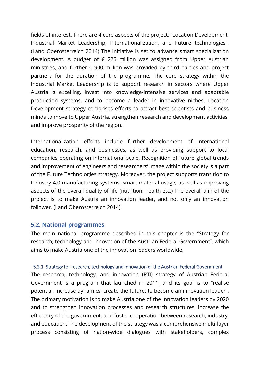fields of interest. There are 4 core aspects of the project; "Location Development, Industrial Market Leadership, Internationalization, and Future technologies". (Land Oberösterreich 2014) The initiative is set to advance smart specialization development. A budget of  $\epsilon$  225 million was assigned from Upper Austrian ministries, and further  $\epsilon$  900 million was provided by third parties and project partners for the duration of the programme. The core strategy within the Industrial Market Leadership is to support research in sectors where Upper Austria is excelling, invest into knowledge-intensive services and adaptable production systems, and to become a leader in innovative niches. Location Development strategy comprises efforts to attract best scientists and business minds to move to Upper Austria, strengthen research and development activities, and improve prosperity of the region.

Internationalization efforts include further development of international education, research, and businesses, as well as providing support to local companies operating on international scale. Recognition of future global trends and improvement of engineers and researchers' image within the society is a part of the Future Technologies strategy. Moreover, the project supports transition to Industry 4.0 manufacturing systems, smart material usage, as well as improving aspects of the overall quality of life (nutrition, health etc.) The overall aim of the project is to make Austria an innovation leader, and not only an innovation follower. (Land Oberösterreich 2014)

### <span id="page-23-0"></span>**5.2. National programmes**

The main national programme described in this chapter is the "Strategy for research, technology and innovation of the Austrian Federal Government", which aims to make Austria one of the innovation leaders worldwide.

### <span id="page-23-1"></span>5.2.1 Strategy for research, technology and innovation of the Austrian Federal Government

The research, technology, and innovation (RTI) strategy of Austrian Federal Government is a program that launched in 2011, and its goal is to "realise potential, increase dynamics, create the future: to become an innovation leader". The primary motivation is to make Austria one of the innovation leaders by 2020 and to strengthen innovation processes and research structures, increase the efficiency of the government, and foster cooperation between research, industry, and education. The development of the strategy was a comprehensive multi-layer process consisting of nation-wide dialogues with stakeholders, complex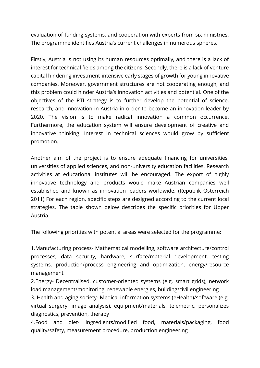evaluation of funding systems, and cooperation with experts from six ministries. The programme identifies Austria's current challenges in numerous spheres.

Firstly, Austria is not using its human resources optimally, and there is a lack of interest for technical fields among the citizens. Secondly, there is a lack of venture capital hindering investment-intensive early stages of growth for young innovative companies. Moreover, government structures are not cooperating enough, and this problem could hinder Austria's innovation activities and potential. One of the objectives of the RTI strategy is to further develop the potential of science, research, and innovation in Austria in order to become an innovation leader by 2020. The vision is to make radical innovation a common occurrence. Furthermore, the education system will ensure development of creative and innovative thinking. Interest in technical sciences would grow by sufficient promotion.

Another aim of the project is to ensure adequate financing for universities, universities of applied sciences, and non-university education facilities. Research activities at educational institutes will be encouraged. The export of highly innovative technology and products would make Austrian companies well established and known as innovation leaders worldwide. (Republik Österreich 2011) For each region, specific steps are designed according to the current local strategies. The table shown below describes the specific priorities for Upper Austria.

The following priorities with potential areas were selected for the programme:

1.Manufacturing process- Mathematical modelling, software architecture/control processes, data security, hardware, surface/material development, testing systems, production/process engineering and optimization, energy/resource management

2.Energy- Decentralised, customer-oriented systems (e.g. smart grids), network load management/monitoring, renewable energies, building/civil engineering

3. Health and aging society- Medical information systems (eHealth)/software (e.g. virtual surgery, image analysis), equipment/materials, telemetric, personalizes diagnostics, prevention, therapy

4.Food and diet- Ingredients/modified food, materials/packaging, food quality/safety, measurement procedure, production engineering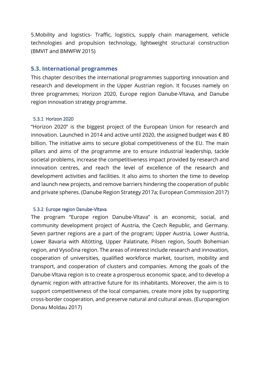5.Mobility and logistics- Traffic, logistics, supply chain management, vehicle technologies and propulsion technology, lightweight structural construction (BMVIT and BMWFW 2015)

### <span id="page-25-0"></span>**5.3. International programmes**

This chapter describes the international programmes supporting innovation and research and development in the Upper Austrian region. It focuses namely on three programmes; Horizon 2020, Europe region Danube-Vltava, and Danube region innovation strategy programme.

### <span id="page-25-1"></span>5.3.1 Horizon 2020

"Horizon 2020" is the biggest project of the European Union for research and innovation. Launched in 2014 and active until 2020, the assigned budget was  $\epsilon$  80 billion. The initiative aims to secure global competitiveness of the EU. The main pillars and aims of the programme are to ensure industrial leadership, tackle societal problems, increase the competitiveness impact provided by research and innovation centres, and reach the level of excellence of the research and development activities and facilities. It also aims to shorten the time to develop and launch new projects, and remove barriers hindering the cooperation of public and private spheres. (Danube Region Strategy 2017a; European Commission 2017)

### <span id="page-25-2"></span>5.3.2 Europe region Danube-Vltava

The program "Europe region Danube-Vltava" is an economic, social, and community development project of Austria, the Czech Republic, and Germany. Seven partner regions are a part of the program; Upper Austria, Lower Austria, Lower Bavaria with Altötting, Upper Palatinate, Pilsen region, South Bohemian region, and Vysočina region. The areas of interest include research and innovation, cooperation of universities, qualified workforce market, tourism, mobility and transport, and cooperation of clusters and companies. Among the goals of the Danube-Vltava region is to create a prosperous economic space, and to develop a dynamic region with attractive future for its inhabitants. Moreover, the aim is to support competitiveness of the local companies, create more jobs by supporting cross-border cooperation, and preserve natural and cultural areas. (Europaregion Donau Moldau 2017)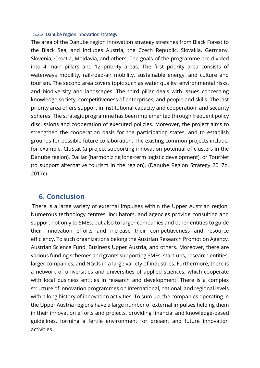#### <span id="page-26-0"></span>5.3.3 Danube region innovation strategy

The area of the Danube region innovation strategy stretches from Black Forest to the Black Sea, and includes Austria, the Czech Republic, Slovakia, Germany, Slovenia, Croatia, Moldavia, and others. The goals of the programme are divided into 4 main pillars and 12 priority areas. The first priority area consists of waterways mobility, rail-road-air mobility, sustainable energy, and culture and tourism. The second area covers topic such as water quality, environmental risks, and biodiversity and landscapes. The third pillar deals with issues concerning knowledge society, competitiveness of enterprises, and people and skills. The last priority area offers support in institutional capacity and cooperation, and security spheres. The strategic programme has been implemented through frequent policy discussions and cooperation of executed policies. Moreover, the project aims to strengthen the cooperation basis for the participating states, and to establish grounds for possible future collaboration. The existing common projects include, for example, CluStat (a project supporting innovation potential of clusters in the Danube region), DaHar (harmonizing long-term logistic development), or TourNet (to support alternative tourism in the region). (Danube Region Strategy 2017b, 2017c)

### <span id="page-26-1"></span>**6. Conclusion**

There is a large variety of external impulses within the Upper Austrian region. Numerous technology centres, incubators, and agencies provide consulting and support not only to SMEs, but also to larger companies and other entities to guide their innovation efforts and increase their competitiveness and resource efficiency. To such organizations belong the Austrian Research Promotion Agency, Austrian Science Fund, Business Upper Austria, and others. Moreover, there are various funding schemes and grants supporting SMEs, start-ups, research entities, larger companies, and NGOs in a large variety of industries. Furthermore, there is a network of universities and universities of applied sciences, which cooperate with local business entities in research and development. There is a complex structure of innovation programmes on international, national, and regional levels with a long history of innovation activities. To sum up, the companies operating in the Upper Austria regions have a large number of external impulses helping them in their innovation efforts and projects, providing financial and knowledge-based guidelines, forming a fertile environment for present and future innovation activities.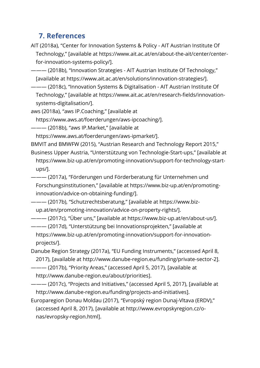### <span id="page-27-0"></span>**7. References**

AIT (2018a), "Center for Innovation Systems & Policy - AIT Austrian Institute Of Technology," [available at https://www.ait.ac.at/en/about-the-ait/center/centerfor-innovation-systems-policy/].

 $-$  (2018b), "Innovation Strategies - AIT Austrian Institute Of Technology," [available at https://www.ait.ac.at/en/solutions/innovation-strategies/].

——— (2018c), "Innovation Systems & Digitalisation - AIT Austrian Institute Of Technology," [available at https://www.ait.ac.at/en/research-fields/innovationsystems-digitalisation/].

aws (2018a), "aws IP.Coaching," [available at

https://www.aws.at/foerderungen/aws-ipcoaching/].

-- (2018b), "aws IP.Market," [available at

https://www.aws.at/foerderungen/aws-ipmarket/].

BMVIT and BMWFW (2015), "Austrian Research and Technology Report 2015,"

Business Upper Austria, "Unterstützung von Technologie-Start-ups," [available at https://www.biz-up.at/en/promoting-innovation/support-for-technology-startups/].

——— (2017a), "Förderungen und Förderberatung für Unternehmen und Forschungsinstitutionen," [available at https://www.biz-up.at/en/promotinginnovation/advice-on-obtaining-funding/].

——— (2017b), "Schutzrechtsberatung," [available at https://www.bizup.at/en/promoting-innovation/advice-on-property-rights/].

——— (2017c), "Über uns," [available at https://www.biz-up.at/en/about-us/].

——— (2017d), "Unterstützung bei Innovationsprojekten," [available at https://www.biz-up.at/en/promoting-innovation/support-for-innovationprojects/].

Danube Region Strategy (2017a), "EU Funding Instruments," (accessed April 8, 2017), [available at http://www.danube-region.eu/funding/private-sector-2].

——— (2017b), "Priority Areas," (accessed April 5, 2017), [available at http://www.danube-region.eu/about/priorities].

——— (2017c), "Projects and Initiatives," (accessed April 5, 2017), [available at http://www.danube-region.eu/funding/projects-and-initiatives].

Europaregion Donau Moldau (2017), "Evropský region Dunaj-Vltava (ERDV)," (accessed April 8, 2017), [available at http://www.evropskyregion.cz/onas/evropsky-region.html].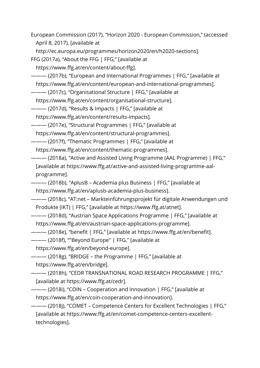European Commission (2017), "Horizon 2020 - European Commission," (accessed April 8, 2017), [available at

http://ec.europa.eu/programmes/horizon2020/en/h2020-sections].

FFG (2017a), "About the FFG | FFG," [available at

https://www.ffg.at/en/content/about-ffg].

——— (2017b), "European and International Programmes | FFG," [available at https://www.ffg.at/en/content/european-and-international-programmes].

——— (2017c), "Organisational Structure | FFG," [available at

https://www.ffg.at/en/content/organisational-structure].

——— (2017d), "Results & Impacts | FFG," [available at

https://www.ffg.at/en/content/results-impacts].

——— (2017e), "Structural Programmes | FFG," [available at https://www.ffg.at/en/content/structural-programmes].

- ——— (2017f), "Thematic Programmes | FFG," [available at https://www.ffg.at/en/content/thematic-programmes].
- ——— (2018a), "Active and Assisted Living Programme (AAL Programme) | FFG," [available at https://www.ffg.at/active-and-assisted-living-programme-aalprogramme].

——— (2018b), "AplusB – Academia plus Business | FFG," [available at https://www.ffg.at/en/aplusb-academia-plus-business].

——— (2018c), "AT:net – Markteinführungsprojekt für digitale Anwendungen und Produkte (IKT) | FFG," [available at https://www.ffg.at/atnet].

——— (2018d), "Austrian Space Applications Programme | FFG," [available at https://www.ffg.at/en/austrian-space-applications-programme].

——— (2018e), "benefit | FFG," [available at https://www.ffg.at/en/benefit].

——— (2018f), ""Beyond Europe" | FFG," [available at

https://www.ffg.at/en/beyond-europe].

——— (2018g), "BRIDGE – the Programme | FFG," [available at https://www.ffg.at/en/bridge].

——— (2018h), "CEDR TRANSNATIONAL ROAD RESEARCH PROGRAMME | FFG," [available at https://www.ffg.at/cedr].

——— (2018i), "COIN – Cooperation and Innovation | FFG," [available at https://www.ffg.at/en/coin-cooperation-and-innovation].

——— (2018j), "COMET – Competence Centers for Excellent Technologies | FFG," [available at https://www.ffg.at/en/comet-competence-centers-excellenttechnologies].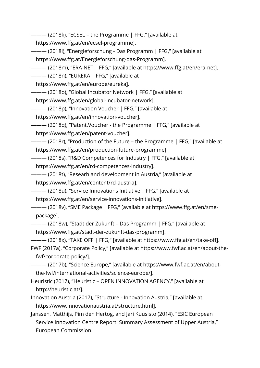——— (2018k), "ECSEL – the Programme | FFG," [available at

https://www.ffg.at/en/ecsel-programme].

——— (2018l), "Energieforschung - Das Programm | FFG," [available at https://www.ffg.at/Energieforschung-das-Programm].

——— (2018m), "ERA-NET | FFG," [available at https://www.ffg.at/en/era-net].

——— (2018n), "EUREKA | FFG," [available at

https://www.ffg.at/en/europe/eureka].

——— (2018o), "Global Incubator Network | FFG," [available at

https://www.ffg.at/en/global-incubator-network].

——— (2018p), "Innovation Voucher | FFG," [available at

https://www.ffg.at/en/innovation-voucher].

——— (2018q), "Patent.Voucher - the Programme | FFG," [available at https://www.ffg.at/en/patent-voucher].

——— (2018r), "Production of the Future – the Programme | FFG," [available at https://www.ffg.at/en/production-future-programme].

——— (2018s), "R&D Competences for Industry | FFG," [available at https://www.ffg.at/en/rd-competences-industry].

——— (2018t), "Researh and development in Austria," [available at https://www.ffg.at/en/content/rd-austria].

——— (2018u), "Service Innovations Initiative | FFG," [available at https://www.ffg.at/en/service-innovations-initiative].

——— (2018v), "SME Package | FFG," [available at https://www.ffg.at/en/smepackage].

 $-$  (2018w), "Stadt der Zukunft – Das Programm | FFG," [available at https://www.ffg.at/stadt-der-zukunft-das-programm].

——— (2018x), "TAKE OFF | FFG," [available at https://www.ffg.at/en/take-off]. FWF (2017a), "Corporate Policy," [available at https://www.fwf.ac.at/en/about-thefwf/corporate-policy/].

——— (2017b), "Science Europe," [available at https://www.fwf.ac.at/en/aboutthe-fwf/international-activities/science-europe/].

Heuristic (2017), "Heuristic – OPEN INNOVATION AGENCY," [available at http://heuristic.at/].

Innovation Austria (2017), "Structure - Innovation Austria," [available at https://www.innovationaustria.at/structure.html].

Janssen, Matthijs, Pim den Hertog, and Jari Kuusisto (2014), "ESIC European Service Innovation Centre Report: Summary Assessment of Upper Austria," European Commission.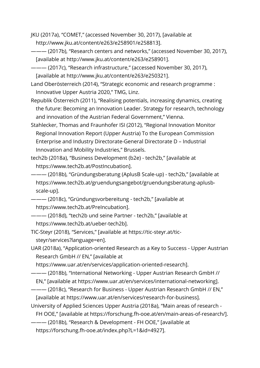JKU (2017a), "COMET," (accessed November 30, 2017), [available at http://www.jku.at/content/e263/e258901/e258813].

——— (2017b), "Research centers and networks," (accessed November 30, 2017), [available at http://www.jku.at/content/e263/e258901].

——— (2017c), "Research infrastructure," (accessed November 30, 2017), [available at http://www.jku.at/content/e263/e250321].

Land Oberösterreich (2014), "Strategic economic and research programme : Innovative Upper Austria 2020," TMG, Linz.

Republik Österreich (2011), "Realising potentials, increasing dynamics, creating the future: Becoming an Innovation Leader. Strategy for research, technology and innovation of the Austrian Federal Government," Vienna.

Stahlecker, Thomas and Fraunhofer ISI (2012), "Regional Innovation Monitor Regional Innovation Report (Upper Austria) To the European Commission Enterprise and Industry Directorate-General Directorate D – Industrial Innovation and Mobility Industries," Brussels.

tech2b (2018a), "Business Development (b2e) - tech2b," [available at https://www.tech2b.at/PostIncubation].

——— (2018b), "Gründungsberatung (AplusB Scale-up) - tech2b," [available at https://www.tech2b.at/gruendungsangebot/gruendungsberatung-aplusbscale-up].

——— (2018c), "Gründungsvorbereitung - tech2b," [available at https://www.tech2b.at/PreIncubation].

——— (2018d), "tech2b und seine Partner - tech2b," [available at https://www.tech2b.at/ueber-tech2b].

TIC-Steyr (2018), "Services," [available at https://tic-steyr.at/ticsteyr/services?language=en].

UAR (2018a), "Application-oriented Research as a Key to Success - Upper Austrian Research GmbH // EN," [available at

https://www.uar.at/en/services/application-oriented-research].

——— (2018b), "International Networking - Upper Austrian Research GmbH //

EN," [available at https://www.uar.at/en/services/international-networking].

——— (2018c), "Research for Business - Upper Austrian Research GmbH // EN," [available at https://www.uar.at/en/services/research-for-business].

University of Applied Sciences Upper Austria (2018a), "Main areas of research - FH OOE," [available at https://forschung.fh-ooe.at/en/main-areas-of-research/].

——— (2018b), "Research & Development - FH OOE," [available at

https://forschung.fh-ooe.at/index.php?L=1&id=4927].